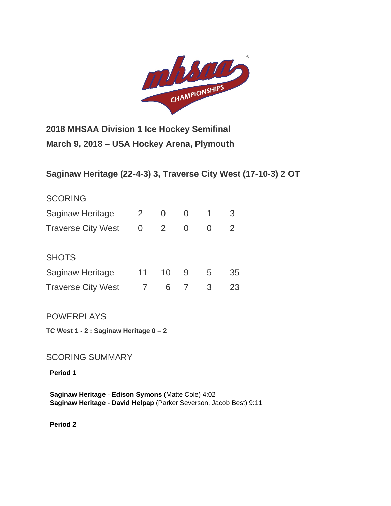

**2018 MHSAA Division 1 Ice Hockey Semifinal March 9, 2018 – USA Hockey Arena, Plymouth**

# **Saginaw Heritage (22-4-3) 3, Traverse City West (17-10-3) 2 OT**

| <b>SCORING</b>            |                |    |   |   |    |
|---------------------------|----------------|----|---|---|----|
| Saginaw Heritage          | $\overline{2}$ | 0  | 0 | 1 | 3  |
| <b>Traverse City West</b> | 0              | 2  | 0 |   | 2  |
|                           |                |    |   |   |    |
| <b>SHOTS</b>              |                |    |   |   |    |
| Saginaw Heritage          | 11             | 10 | 9 | 5 | 35 |
| <b>Traverse City West</b> |                | 6  |   | 3 | 23 |

POWERPLAYS

**TC West 1 - 2 : Saginaw Heritage 0 – 2**

SCORING SUMMARY

**Period 1**

**Saginaw Heritage** - **[Edison Symons](http://mihl_site.wttstats.pointstreak.com/playerpage.html?playerid=10638591&seasonid=17926)** [\(Matte Cole\)](http://mihl_site.wttstats.pointstreak.com/playerpage.html?playerid=10638578&seasonid=17926) 4:02 **Saginaw Heritage** - **[David Helpap](http://mihl_site.wttstats.pointstreak.com/playerpage.html?playerid=10638582&seasonid=17926)** [\(Parker Severson,](http://mihl_site.wttstats.pointstreak.com/playerpage.html?playerid=10638577&seasonid=17926) [Jacob Best\)](http://mihl_site.wttstats.pointstreak.com/playerpage.html?playerid=10638585&seasonid=17926) 9:11

**Period 2**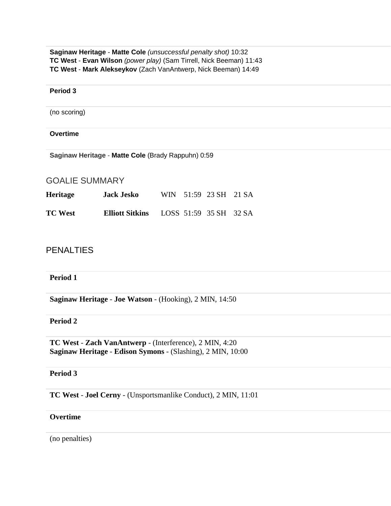**Saginaw Heritage** - **[Matte Cole](http://mihl_site.wttstats.pointstreak.com/playerpage.html?playerid=10638578&seasonid=17926)** *(unsuccessful penalty shot)* 10:32 **TC West** - **[Evan Wilson](http://mihl_site.wttstats.pointstreak.com/playerpage.html?playerid=10638724&seasonid=17926)** *(power play)* [\(Sam Tirrell,](http://mihl_site.wttstats.pointstreak.com/playerpage.html?playerid=10638722&seasonid=17926) [Nick Beeman\)](http://mihl_site.wttstats.pointstreak.com/playerpage.html?playerid=10638714&seasonid=17926) 11:43 **TC West** - **[Mark Alekseykov](http://mihl_site.wttstats.pointstreak.com/playerpage.html?playerid=10638716&seasonid=17926)** [\(Zach VanAntwerp,](http://mihl_site.wttstats.pointstreak.com/playerpage.html?playerid=10638723&seasonid=17926) [Nick Beeman\)](http://mihl_site.wttstats.pointstreak.com/playerpage.html?playerid=10638714&seasonid=17926) 14:49

#### **Period 3**

(no scoring)

#### **Overtime**

**Saginaw Heritage** - **[Matte Cole](http://mihl_site.wttstats.pointstreak.com/playerpage.html?playerid=10638578&seasonid=17926)** [\(Brady Rappuhn\)](http://mihl_site.wttstats.pointstreak.com/playerpage.html?playerid=10638581&seasonid=17926) 0:59

# GOALIE SUMMARY

| <b>Heritage</b> | <b>Jack Jesko</b>      |  | WIN 51:59 23 SH 21 SA  |  |
|-----------------|------------------------|--|------------------------|--|
| <b>TC West</b>  | <b>Elliott Sitkins</b> |  | LOSS 51:59 35 SH 32 SA |  |

# **PENALTIES**

#### **Period 1**

**Saginaw Heritage** - **[Joe Watson](http://mihl_site.wttstats.pointstreak.com/playerpage.html?playerid=10638580&seasonid=17926)** - (Hooking), 2 MIN, 14:50

# **Period 2**

**TC West** - **[Zach VanAntwerp](http://mihl_site.wttstats.pointstreak.com/playerpage.html?playerid=10638723&seasonid=17926)** - (Interference), 2 MIN, 4:20 **Saginaw Heritage** - **[Edison Symons](http://mihl_site.wttstats.pointstreak.com/playerpage.html?playerid=10638591&seasonid=17926)** - (Slashing), 2 MIN, 10:00

#### **Period 3**

**TC West** - **[Joel Cerny](http://mihl_site.wttstats.pointstreak.com/playerpage.html?playerid=10638712&seasonid=17926)** - (Unsportsmanlike Conduct), 2 MIN, 11:01

# **Overtime**

(no penalties)